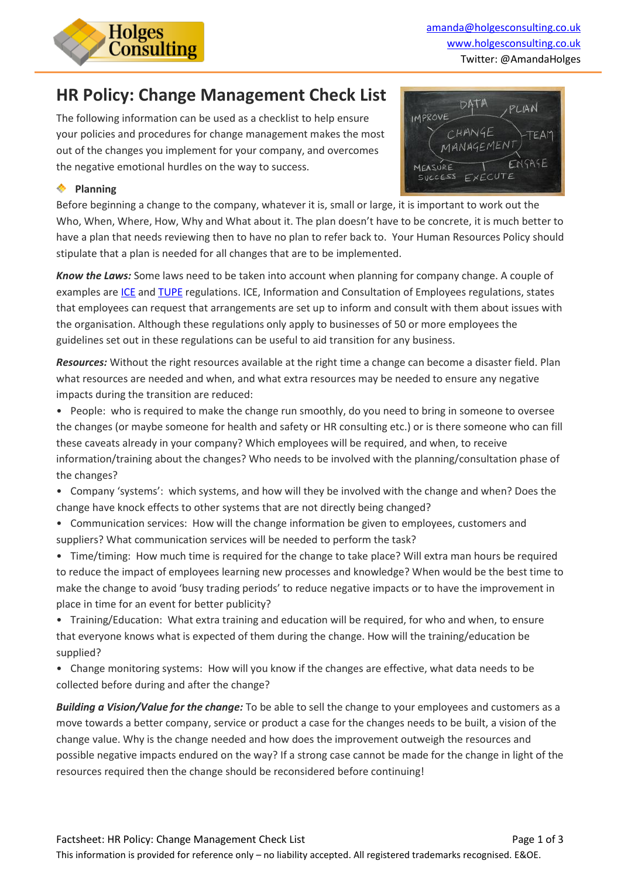

PLAN

TEAM

DATA

 $CHANGE$ 

ANAGEMEN

IMPROVE

# **HR Policy: Change Management Check List**

The following information can be used as a checklist to help ensure your policies and procedures for change management makes the most out of the changes you implement for your company, and overcomes the negative emotional hurdles on the way to success.

#### **Planning**

SAGE EXECUTE ESS Before beginning a change to the company, whatever it is, small or large, it is important to work out the Who, When, Where, How, Why and What about it. The plan doesn't have to be concrete, it is much better to have a plan that needs reviewing then to have no plan to refer back to. Your Human Resources Policy should stipulate that a plan is needed for all changes that are to be implemented.

*Know the Laws:* Some laws need to be taken into account when planning for company change. A couple of examples are [ICE](http://www.acas.org.uk/index.aspx?articleid=1598) an[d TUPE](http://www.acas.org.uk/index.aspx?articleid=1655) regulations. ICE, Information and Consultation of Employees regulations, states that employees can request that arrangements are set up to inform and consult with them about issues with the organisation. Although these regulations only apply to businesses of 50 or more employees the guidelines set out in these regulations can be useful to aid transition for any business.

*Resources:* Without the right resources available at the right time a change can become a disaster field. Plan what resources are needed and when, and what extra resources may be needed to ensure any negative impacts during the transition are reduced:

- People: who is required to make the change run smoothly, do you need to bring in someone to oversee the changes (or maybe someone for health and safety or HR consulting etc.) or is there someone who can fill these caveats already in your company? Which employees will be required, and when, to receive information/training about the changes? Who needs to be involved with the planning/consultation phase of the changes?
- Company 'systems': which systems, and how will they be involved with the change and when? Does the change have knock effects to other systems that are not directly being changed?
- Communication services: How will the change information be given to employees, customers and suppliers? What communication services will be needed to perform the task?

• Time/timing: How much time is required for the change to take place? Will extra man hours be required to reduce the impact of employees learning new processes and knowledge? When would be the best time to make the change to avoid 'busy trading periods' to reduce negative impacts or to have the improvement in place in time for an event for better publicity?

• Training/Education: What extra training and education will be required, for who and when, to ensure that everyone knows what is expected of them during the change. How will the training/education be supplied?

• Change monitoring systems: How will you know if the changes are effective, what data needs to be collected before during and after the change?

*Building a Vision/Value for the change:* To be able to sell the change to your employees and customers as a move towards a better company, service or product a case for the changes needs to be built, a vision of the change value. Why is the change needed and how does the improvement outweigh the resources and possible negative impacts endured on the way? If a strong case cannot be made for the change in light of the resources required then the change should be reconsidered before continuing!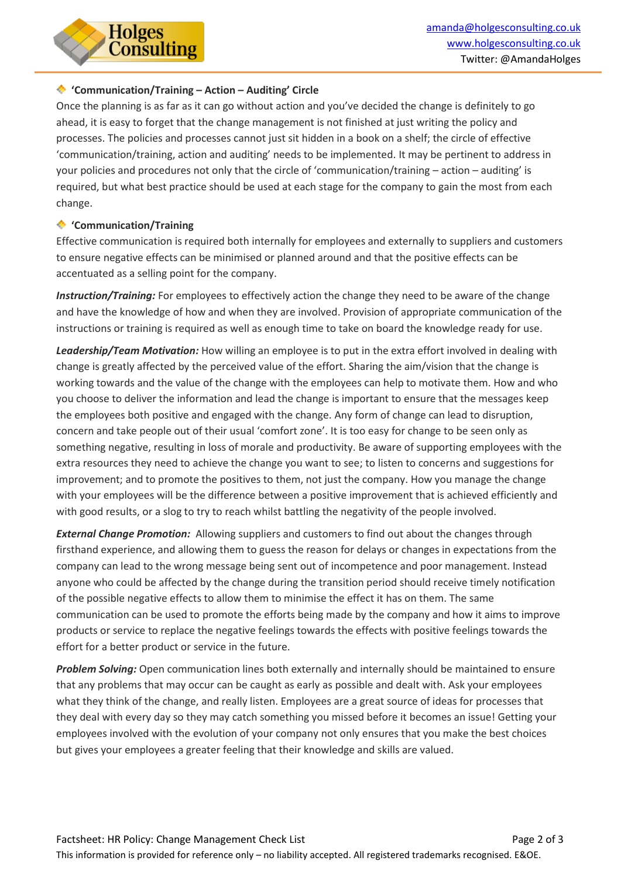

#### **'Communication/Training – Action – Auditing' Circle**

Once the planning is as far as it can go without action and you've decided the change is definitely to go ahead, it is easy to forget that the change management is not finished at just writing the policy and processes. The policies and processes cannot just sit hidden in a book on a shelf; the circle of effective 'communication/training, action and auditing' needs to be implemented. It may be pertinent to address in your policies and procedures not only that the circle of 'communication/training – action – auditing' is required, but what best practice should be used at each stage for the company to gain the most from each change.

#### **'Communication/Training**

Effective communication is required both internally for employees and externally to suppliers and customers to ensure negative effects can be minimised or planned around and that the positive effects can be accentuated as a selling point for the company.

*Instruction/Training:* For employees to effectively action the change they need to be aware of the change and have the knowledge of how and when they are involved. Provision of appropriate communication of the instructions or training is required as well as enough time to take on board the knowledge ready for use.

*Leadership/Team Motivation:* How willing an employee is to put in the extra effort involved in dealing with change is greatly affected by the perceived value of the effort. Sharing the aim/vision that the change is working towards and the value of the change with the employees can help to motivate them. How and who you choose to deliver the information and lead the change is important to ensure that the messages keep the employees both positive and engaged with the change. Any form of change can lead to disruption, concern and take people out of their usual 'comfort zone'. It is too easy for change to be seen only as something negative, resulting in loss of morale and productivity. Be aware of supporting employees with the extra resources they need to achieve the change you want to see; to listen to concerns and suggestions for improvement; and to promote the positives to them, not just the company. How you manage the change with your employees will be the difference between a positive improvement that is achieved efficiently and with good results, or a slog to try to reach whilst battling the negativity of the people involved.

*External Change Promotion:* Allowing suppliers and customers to find out about the changes through firsthand experience, and allowing them to guess the reason for delays or changes in expectations from the company can lead to the wrong message being sent out of incompetence and poor management. Instead anyone who could be affected by the change during the transition period should receive timely notification of the possible negative effects to allow them to minimise the effect it has on them. The same communication can be used to promote the efforts being made by the company and how it aims to improve products or service to replace the negative feelings towards the effects with positive feelings towards the effort for a better product or service in the future.

*Problem Solving:* Open communication lines both externally and internally should be maintained to ensure that any problems that may occur can be caught as early as possible and dealt with. Ask your employees what they think of the change, and really listen. Employees are a great source of ideas for processes that they deal with every day so they may catch something you missed before it becomes an issue! Getting your employees involved with the evolution of your company not only ensures that you make the best choices but gives your employees a greater feeling that their knowledge and skills are valued.